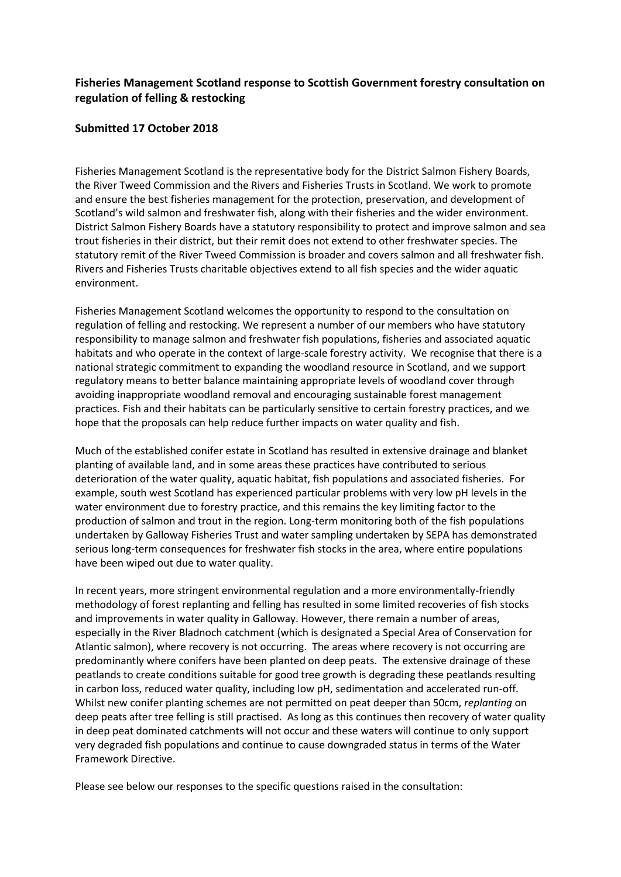# **Fisheries Management Scotland response to Scottish Government forestry consultation on regulation of felling & restocking**

#### **Submitted 17 October 2018**

Fisheries Management Scotland is the representative body for the District Salmon Fishery Boards, the River Tweed Commission and the Rivers and Fisheries Trusts in Scotland. We work to promote and ensure the best fisheries management for the protection, preservation, and development of Scotland's wild salmon and freshwater fish, along with their fisheries and the wider environment. District Salmon Fishery Boards have a statutory responsibility to protect and improve salmon and sea trout fisheries in their district, but their remit does not extend to other freshwater species. The statutory remit of the River Tweed Commission is broader and covers salmon and all freshwater fish. Rivers and Fisheries Trusts charitable objectives extend to all fish species and the wider aquatic environment.

Fisheries Management Scotland welcomes the opportunity to respond to the consultation on regulation of felling and restocking. We represent a number of our members who have statutory responsibility to manage salmon and freshwater fish populations, fisheries and associated aquatic habitats and who operate in the context of large-scale forestry activity. We recognise that there is a national strategic commitment to expanding the woodland resource in Scotland, and we support regulatory means to better balance maintaining appropriate levels of woodland cover through avoiding inappropriate woodland removal and encouraging sustainable forest management practices. Fish and their habitats can be particularly sensitive to certain forestry practices, and we hope that the proposals can help reduce further impacts on water quality and fish.

Much of the established conifer estate in Scotland has resulted in extensive drainage and blanket planting of available land, and in some areas these practices have contributed to serious deterioration of the water quality, aquatic habitat, fish populations and associated fisheries. For example, south west Scotland has experienced particular problems with very low pH levels in the water environment due to forestry practice, and this remains the key limiting factor to the production of salmon and trout in the region. Long-term monitoring both of the fish populations undertaken by Galloway Fisheries Trust and water sampling undertaken by SEPA has demonstrated serious long-term consequences for freshwater fish stocks in the area, where entire populations have been wiped out due to water quality.

In recent years, more stringent environmental regulation and a more environmentally-friendly methodology of forest replanting and felling has resulted in some limited recoveries of fish stocks and improvements in water quality in Galloway. However, there remain a number of areas, especially in the River Bladnoch catchment (which is designated a Special Area of Conservation for Atlantic salmon), where recovery is not occurring. The areas where recovery is not occurring are predominantly where conifers have been planted on deep peats. The extensive drainage of these peatlands to create conditions suitable for good tree growth is degrading these peatlands resulting in carbon loss, reduced water quality, including low pH, sedimentation and accelerated run-off. Whilst new conifer planting schemes are not permitted on peat deeper than 50cm, *replanting* on deep peats after tree felling is still practised. As long as this continues then recovery of water quality in deep peat dominated catchments will not occur and these waters will continue to only support very degraded fish populations and continue to cause downgraded status in terms of the Water Framework Directive.

Please see below our responses to the specific questions raised in the consultation: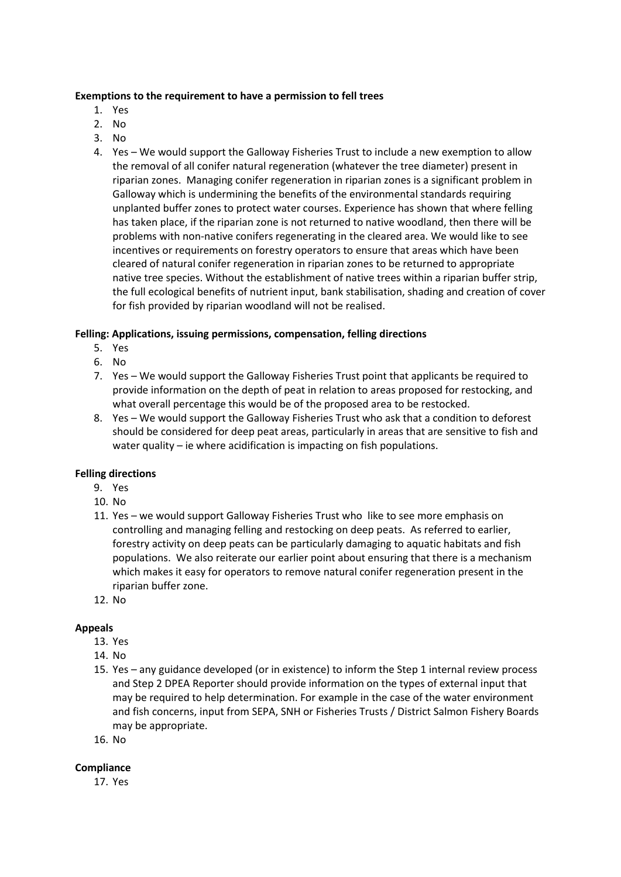#### **Exemptions to the requirement to have a permission to fell trees**

- 1. Yes
- 2. No
- 3. No
- 4. Yes We would support the Galloway Fisheries Trust to include a new exemption to allow the removal of all conifer natural regeneration (whatever the tree diameter) present in riparian zones. Managing conifer regeneration in riparian zones is a significant problem in Galloway which is undermining the benefits of the environmental standards requiring unplanted buffer zones to protect water courses. Experience has shown that where felling has taken place, if the riparian zone is not returned to native woodland, then there will be problems with non-native conifers regenerating in the cleared area. We would like to see incentives or requirements on forestry operators to ensure that areas which have been cleared of natural conifer regeneration in riparian zones to be returned to appropriate native tree species. Without the establishment of native trees within a riparian buffer strip, the full ecological benefits of nutrient input, bank stabilisation, shading and creation of cover for fish provided by riparian woodland will not be realised.

## **Felling: Applications, issuing permissions, compensation, felling directions**

- 5. Yes
- 6. No
- 7. Yes We would support the Galloway Fisheries Trust point that applicants be required to provide information on the depth of peat in relation to areas proposed for restocking, and what overall percentage this would be of the proposed area to be restocked.
- 8. Yes We would support the Galloway Fisheries Trust who ask that a condition to deforest should be considered for deep peat areas, particularly in areas that are sensitive to fish and water quality – ie where acidification is impacting on fish populations.

## **Felling directions**

- 9. Yes
- 10. No
- 11. Yes we would support Galloway Fisheries Trust who like to see more emphasis on controlling and managing felling and restocking on deep peats. As referred to earlier, forestry activity on deep peats can be particularly damaging to aquatic habitats and fish populations. We also reiterate our earlier point about ensuring that there is a mechanism which makes it easy for operators to remove natural conifer regeneration present in the riparian buffer zone.
- 12. No

## **Appeals**

- 13. Yes
- 14. No
- 15. Yes any guidance developed (or in existence) to inform the Step 1 internal review process and Step 2 DPEA Reporter should provide information on the types of external input that may be required to help determination. For example in the case of the water environment and fish concerns, input from SEPA, SNH or Fisheries Trusts / District Salmon Fishery Boards may be appropriate.
- 16. No

## **Compliance**

17. Yes